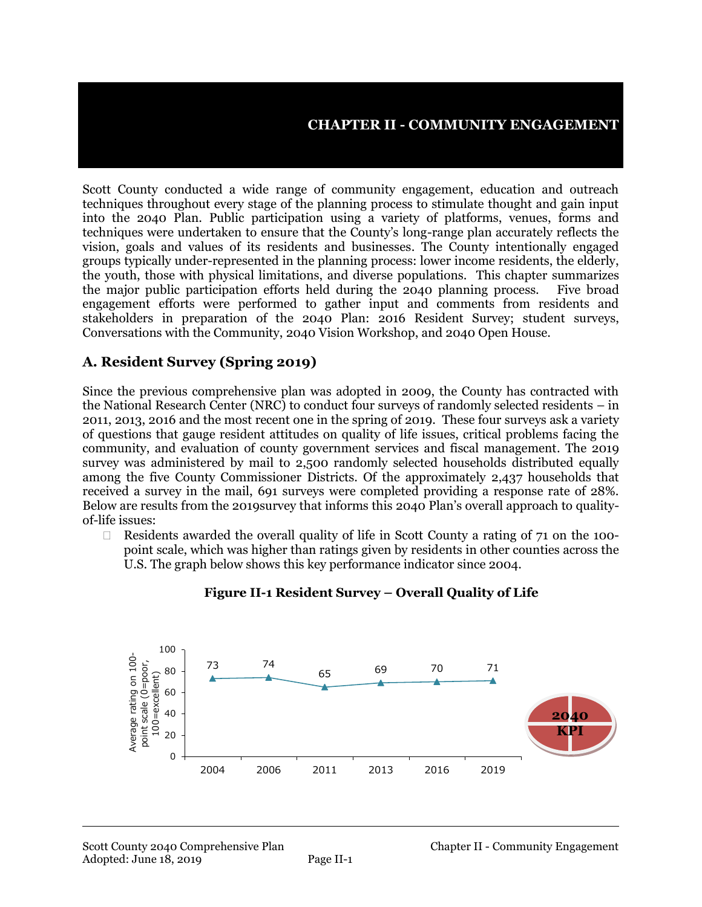#### **CHAPTER II - COMMUNITY ENGAGEMENT**

Scott County conducted a wide range of community engagement, education and outreach techniques throughout every stage of the planning process to stimulate thought and gain input into the 2040 Plan. Public participation using a variety of platforms, venues, forms and techniques were undertaken to ensure that the County's long-range plan accurately reflects the vision, goals and values of its residents and businesses. The County intentionally engaged groups typically under-represented in the planning process: lower income residents, the elderly, the youth, those with physical limitations, and diverse populations. This chapter summarizes the major public participation efforts held during the 2040 planning process. Five broad engagement efforts were performed to gather input and comments from residents and stakeholders in preparation of the 2040 Plan: 2016 Resident Survey; student surveys, Conversations with the Community, 2040 Vision Workshop, and 2040 Open House.

#### **A. Resident Survey (Spring 2019)**

Since the previous comprehensive plan was adopted in 2009, the County has contracted with the National Research Center (NRC) to conduct four surveys of randomly selected residents – in 2011, 2013, 2016 and the most recent one in the spring of 2019. These four surveys ask a variety of questions that gauge resident attitudes on quality of life issues, critical problems facing the community, and evaluation of county government services and fiscal management. The 2019 survey was administered by mail to 2,500 randomly selected households distributed equally among the five County Commissioner Districts. Of the approximately 2,437 households that received a survey in the mail, 691 surveys were completed providing a response rate of 28%. Below are results from the 2019survey that informs this 2040 Plan's overall approach to qualityof-life issues:

 $\Box$  Residents awarded the overall quality of life in Scott County a rating of 71 on the 100point scale, which was higher than ratings given by residents in other counties across the U.S. The graph below shows this key performance indicator since 2004.



**Figure II-1 Resident Survey – Overall Quality of Life**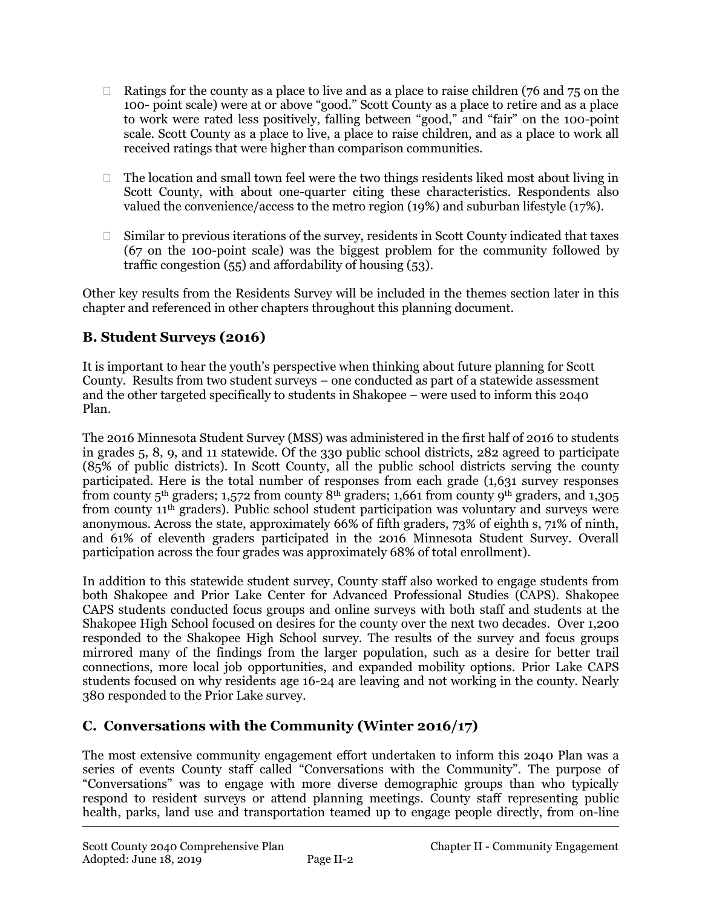- $\Box$  Ratings for the county as a place to live and as a place to raise children (76 and 75 on the 100- point scale) were at or above "good." Scott County as a place to retire and as a place to work were rated less positively, falling between "good," and "fair" on the 100-point scale. Scott County as a place to live, a place to raise children, and as a place to work all received ratings that were higher than comparison communities.
- $\Box$  The location and small town feel were the two things residents liked most about living in Scott County, with about one-quarter citing these characteristics. Respondents also valued the convenience/access to the metro region (19%) and suburban lifestyle (17%).
- $\Box$  Similar to previous iterations of the survey, residents in Scott County indicated that taxes (67 on the 100-point scale) was the biggest problem for the community followed by traffic congestion  $(55)$  and affordability of housing  $(53)$ .

Other key results from the Residents Survey will be included in the themes section later in this chapter and referenced in other chapters throughout this planning document.

## **B. Student Surveys (2016)**

It is important to hear the youth's perspective when thinking about future planning for Scott County. Results from two student surveys – one conducted as part of a statewide assessment and the other targeted specifically to students in Shakopee – were used to inform this 2040 Plan.

The 2016 Minnesota Student Survey (MSS) was administered in the first half of 2016 to students in grades 5, 8, 9, and 11 statewide. Of the 330 public school districts, 282 agreed to participate (85% of public districts). In Scott County, all the public school districts serving the county participated. Here is the total number of responses from each grade (1,631 survey responses from county 5th graders; 1,572 from county 8th graders; 1,661 from county 9th graders, and 1,305 from county 11th graders). Public school student participation was voluntary and surveys were anonymous. Across the state, approximately 66% of fifth graders, 73% of eighth s, 71% of ninth, and 61% of eleventh graders participated in the 2016 Minnesota Student Survey. Overall participation across the four grades was approximately 68% of total enrollment).

In addition to this statewide student survey, County staff also worked to engage students from both Shakopee and Prior Lake Center for Advanced Professional Studies (CAPS). Shakopee CAPS students conducted focus groups and online surveys with both staff and students at the Shakopee High School focused on desires for the county over the next two decades. Over 1,200 responded to the Shakopee High School survey. The results of the survey and focus groups mirrored many of the findings from the larger population, such as a desire for better trail connections, more local job opportunities, and expanded mobility options. Prior Lake CAPS students focused on why residents age 16-24 are leaving and not working in the county. Nearly 380 responded to the Prior Lake survey.

# **C. Conversations with the Community (Winter 2016/17)**

The most extensive community engagement effort undertaken to inform this 2040 Plan was a series of events County staff called "Conversations with the Community". The purpose of "Conversations" was to engage with more diverse demographic groups than who typically respond to resident surveys or attend planning meetings. County staff representing public health, parks, land use and transportation teamed up to engage people directly, from on-line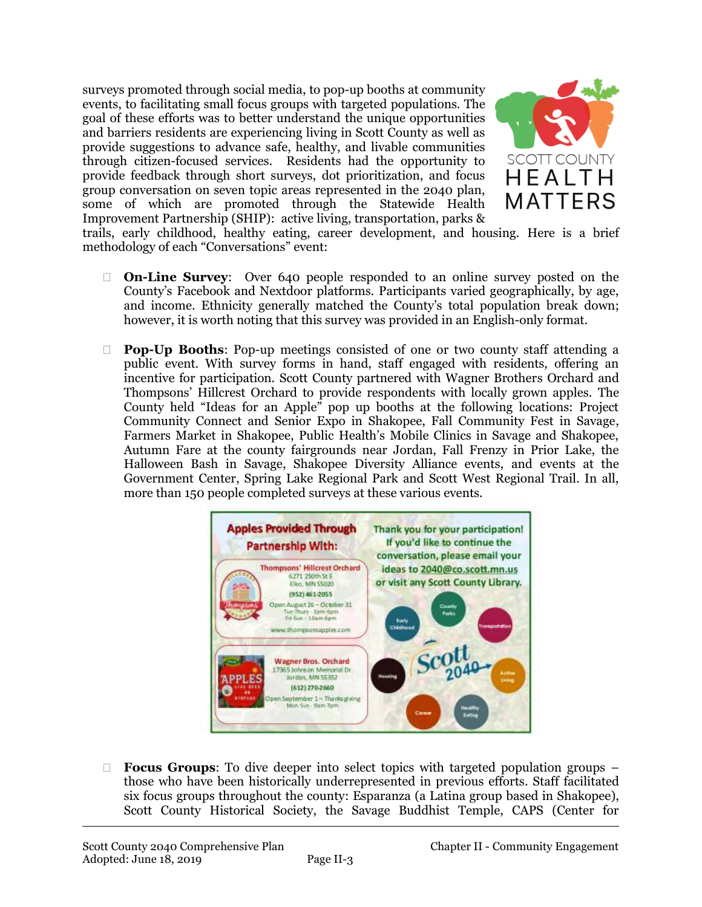surveys promoted through social media, to pop-up booths at community events, to facilitating small focus groups with targeted populations. The goal of these efforts was to better understand the unique opportunities and barriers residents are experiencing living in Scott County as well as provide suggestions to advance safe, healthy, and livable communities through citizen-focused services. Residents had the opportunity to provide feedback through short surveys, dot prioritization, and focus group conversation on seven topic areas represented in the 2040 plan, some of which are promoted through the Statewide Health Improvement Partnership (SHIP): active living, transportation, parks &



trails, early childhood, healthy eating, career development, and housing. Here is a brief methodology of each "Conversations" event:

- **On-Line Survey**: Over 640 people responded to an online survey posted on the County's Facebook and Nextdoor platforms. Participants varied geographically, by age, and income. Ethnicity generally matched the County's total population break down; however, it is worth noting that this survey was provided in an English-only format.
- **Pop-Up Booths**: Pop-up meetings consisted of one or two county staff attending a public event. With survey forms in hand, staff engaged with residents, offering an incentive for participation. Scott County partnered with Wagner Brothers Orchard and Thompsons' Hillcrest Orchard to provide respondents with locally grown apples. The County held "Ideas for an Apple" pop up booths at the following locations: Project Community Connect and Senior Expo in Shakopee, Fall Community Fest in Savage, Farmers Market in Shakopee, Public Health's Mobile Clinics in Savage and Shakopee, Autumn Fare at the county fairgrounds near Jordan, Fall Frenzy in Prior Lake, the Halloween Bash in Savage, Shakopee Diversity Alliance events, and events at the Government Center, Spring Lake Regional Park and Scott West Regional Trail. In all, more than 150 people completed surveys at these various events.



 **Focus Groups**: To dive deeper into select topics with targeted population groups – those who have been historically underrepresented in previous efforts. Staff facilitated six focus groups throughout the county: Esparanza (a Latina group based in Shakopee), Scott County Historical Society, the Savage Buddhist Temple, CAPS (Center for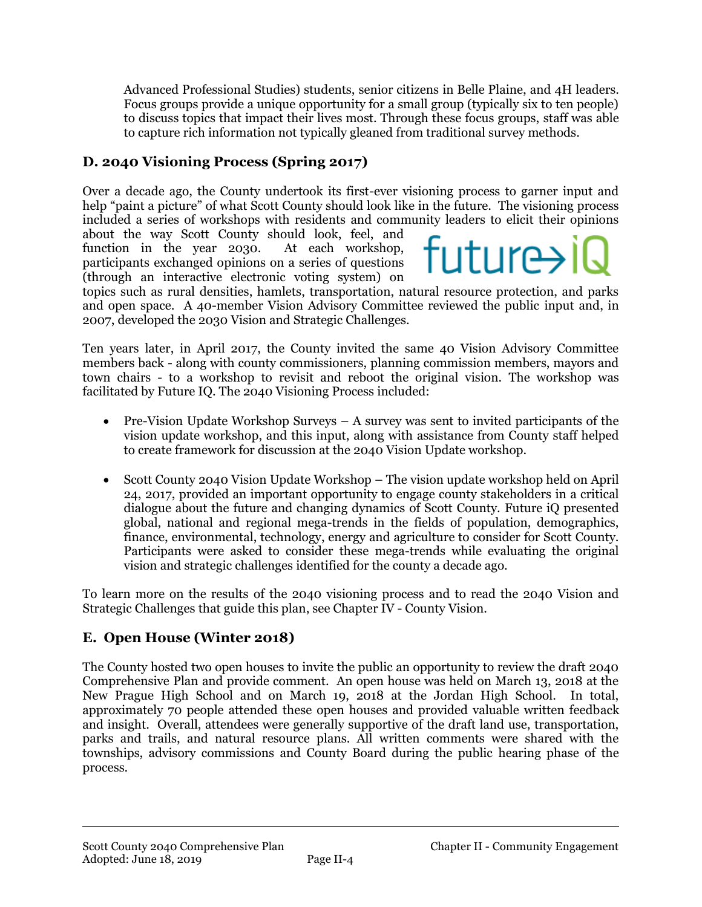Advanced Professional Studies) students, senior citizens in Belle Plaine, and 4H leaders. Focus groups provide a unique opportunity for a small group (typically six to ten people) to discuss topics that impact their lives most. Through these focus groups, staff was able to capture rich information not typically gleaned from traditional survey methods.

# **D. 2040 Visioning Process (Spring 2017)**

Over a decade ago, the County undertook its first-ever visioning process to garner input and help "paint a picture" of what Scott County should look like in the future. The visioning process included a series of workshops with residents and community leaders to elicit their opinions

about the way Scott County should look, feel, and function in the year 2030. At each workshop, participants exchanged opinions on a series of questions (through an interactive electronic voting system) on

# future>i

topics such as rural densities, hamlets, transportation, natural resource protection, and parks and open space. A 40-member Vision Advisory Committee reviewed the public input and, in 2007, developed the 2030 Vision and Strategic Challenges.

Ten years later, in April 2017, the County invited the same 40 Vision Advisory Committee members back - along with county commissioners, planning commission members, mayors and town chairs - to a workshop to revisit and reboot the original vision. The workshop was facilitated by Future IQ. The 2040 Visioning Process included:

- Pre-Vision Update Workshop Surveys  $A$  survey was sent to invited participants of the vision update workshop, and this input, along with assistance from County staff helped to create framework for discussion at the 2040 Vision Update workshop.
- Scott County 2040 Vision Update Workshop The vision update workshop held on April 24, 2017, provided an important opportunity to engage county stakeholders in a critical dialogue about the future and changing dynamics of Scott County. Future iQ presented global, national and regional mega-trends in the fields of population, demographics, finance, environmental, technology, energy and agriculture to consider for Scott County. Participants were asked to consider these mega-trends while evaluating the original vision and strategic challenges identified for the county a decade ago.

To learn more on the results of the 2040 visioning process and to read the 2040 Vision and Strategic Challenges that guide this plan, see Chapter IV - County Vision.

## **E. Open House (Winter 2018)**

The County hosted two open houses to invite the public an opportunity to review the draft 2040 Comprehensive Plan and provide comment. An open house was held on March 13, 2018 at the New Prague High School and on March 19, 2018 at the Jordan High School. In total, approximately 70 people attended these open houses and provided valuable written feedback and insight. Overall, attendees were generally supportive of the draft land use, transportation, parks and trails, and natural resource plans. All written comments were shared with the townships, advisory commissions and County Board during the public hearing phase of the process.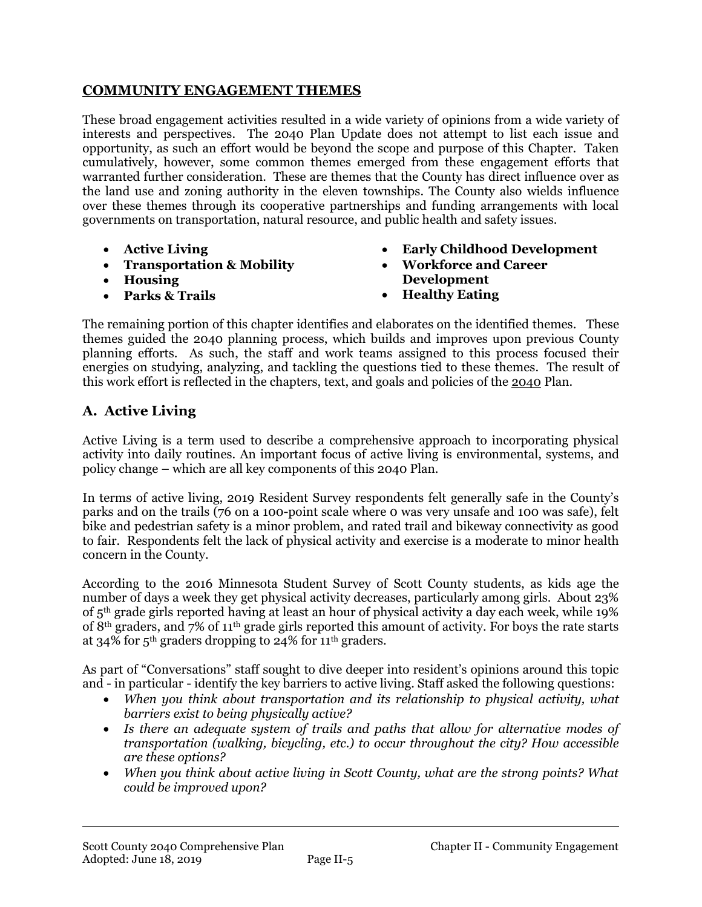#### **COMMUNITY ENGAGEMENT THEMES**

These broad engagement activities resulted in a wide variety of opinions from a wide variety of interests and perspectives. The 2040 Plan Update does not attempt to list each issue and opportunity, as such an effort would be beyond the scope and purpose of this Chapter. Taken cumulatively, however, some common themes emerged from these engagement efforts that warranted further consideration. These are themes that the County has direct influence over as the land use and zoning authority in the eleven townships. The County also wields influence over these themes through its cooperative partnerships and funding arrangements with local governments on transportation, natural resource, and public health and safety issues.

- **Active Living**
- **Transportation & Mobility**
- **Housing**
- **Parks & Trails**
- **Early Childhood Development**
- **Workforce and Career Development**
- **Healthy Eating**

The remaining portion of this chapter identifies and elaborates on the identified themes. These themes guided the 2040 planning process, which builds and improves upon previous County planning efforts. As such, the staff and work teams assigned to this process focused their energies on studying, analyzing, and tackling the questions tied to these themes. The result of this work effort is reflected in the chapters, text, and goals and policies of the 2040 Plan.

## **A. Active Living**

Active Living is a term used to describe a comprehensive approach to incorporating physical activity into daily routines. An important focus of active living is environmental, systems, and policy change – which are all key components of this 2040 Plan.

In terms of active living, 2019 Resident Survey respondents felt generally safe in the County's parks and on the trails (76 on a 100-point scale where 0 was very unsafe and 100 was safe), felt bike and pedestrian safety is a minor problem, and rated trail and bikeway connectivity as good to fair. Respondents felt the lack of physical activity and exercise is a moderate to minor health concern in the County.

According to the 2016 Minnesota Student Survey of Scott County students, as kids age the number of days a week they get physical activity decreases, particularly among girls. About 23% of 5th grade girls reported having at least an hour of physical activity a day each week, while 19% of 8th graders, and 7% of 11th grade girls reported this amount of activity. For boys the rate starts at 34% for 5<sup>th</sup> graders dropping to 24% for  $11<sup>th</sup>$  graders.

As part of "Conversations" staff sought to dive deeper into resident's opinions around this topic and - in particular - identify the key barriers to active living. Staff asked the following questions:

- *When you think about transportation and its relationship to physical activity, what barriers exist to being physically active?*
- *Is there an adequate system of trails and paths that allow for alternative modes of transportation (walking, bicycling, etc.) to occur throughout the city? How accessible are these options?*
- *When you think about active living in Scott County, what are the strong points? What could be improved upon?*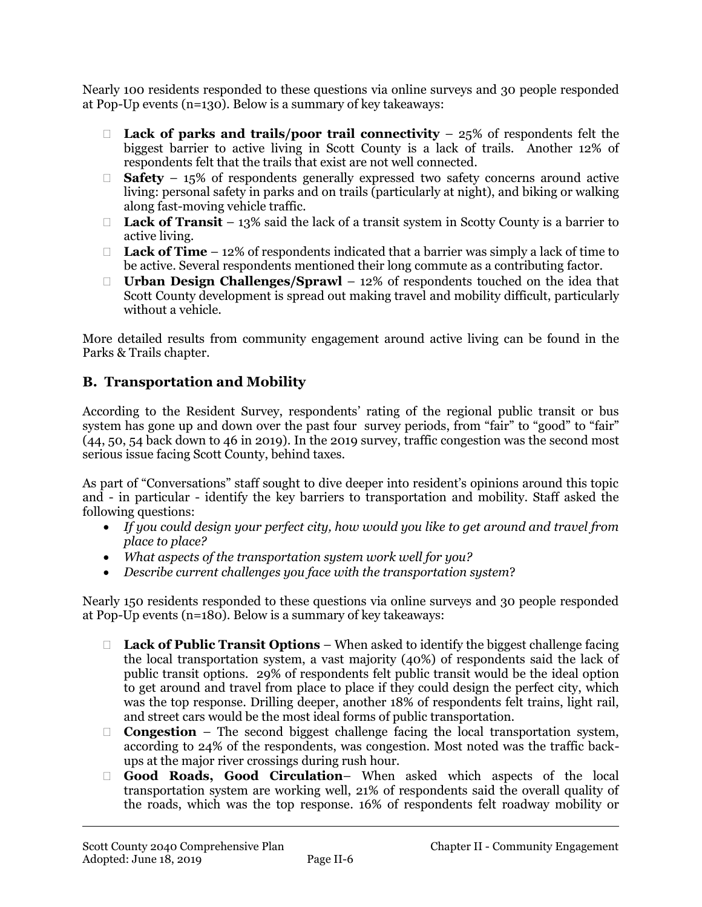Nearly 100 residents responded to these questions via online surveys and 30 people responded at Pop-Up events (n=130). Below is a summary of key takeaways:

- **Lack of parks and trails/poor trail connectivity** 25% of respondents felt the biggest barrier to active living in Scott County is a lack of trails. Another 12% of respondents felt that the trails that exist are not well connected.
- **Safety** 15% of respondents generally expressed two safety concerns around active living: personal safety in parks and on trails (particularly at night), and biking or walking along fast-moving vehicle traffic.
- **Lack of Transit** 13% said the lack of a transit system in Scotty County is a barrier to active living.
- □ **Lack of Time** 12% of respondents indicated that a barrier was simply a lack of time to be active. Several respondents mentioned their long commute as a contributing factor.
- **Urban Design Challenges/Sprawl** 12% of respondents touched on the idea that Scott County development is spread out making travel and mobility difficult, particularly without a vehicle.

More detailed results from community engagement around active living can be found in the Parks & Trails chapter.

## **B. Transportation and Mobility**

According to the Resident Survey, respondents' rating of the regional public transit or bus system has gone up and down over the past four survey periods, from "fair" to "good" to "fair" (44, 50, 54 back down to 46 in 2019). In the 2019 survey, traffic congestion was the second most serious issue facing Scott County, behind taxes.

As part of "Conversations" staff sought to dive deeper into resident's opinions around this topic and - in particular - identify the key barriers to transportation and mobility. Staff asked the following questions:

- *If you could design your perfect city, how would you like to get around and travel from place to place?*
- *What aspects of the transportation system work well for you?*
- *Describe current challenges you face with the transportation system*?

Nearly 150 residents responded to these questions via online surveys and 30 people responded at Pop-Up events (n=180). Below is a summary of key takeaways:

- **Lack of Public Transit Options** When asked to identify the biggest challenge facing the local transportation system, a vast majority (40%) of respondents said the lack of public transit options. 29% of respondents felt public transit would be the ideal option to get around and travel from place to place if they could design the perfect city, which was the top response. Drilling deeper, another 18% of respondents felt trains, light rail, and street cars would be the most ideal forms of public transportation.
- **Congestion** The second biggest challenge facing the local transportation system, according to 24% of the respondents, was congestion. Most noted was the traffic backups at the major river crossings during rush hour.
- **Good Roads, Good Circulation** When asked which aspects of the local transportation system are working well, 21% of respondents said the overall quality of the roads, which was the top response. 16% of respondents felt roadway mobility or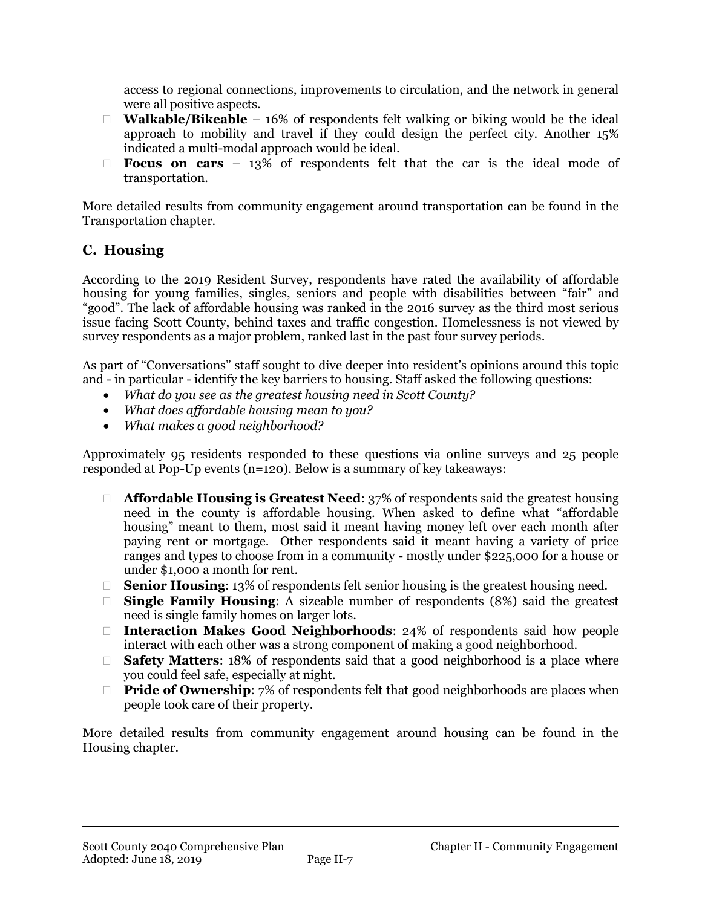access to regional connections, improvements to circulation, and the network in general were all positive aspects.

- □ **Walkable/Bikeable** 16% of respondents felt walking or biking would be the ideal approach to mobility and travel if they could design the perfect city. Another 15% indicated a multi-modal approach would be ideal.
- **Focus on cars** 13% of respondents felt that the car is the ideal mode of transportation.

More detailed results from community engagement around transportation can be found in the Transportation chapter.

## **C. Housing**

According to the 2019 Resident Survey, respondents have rated the availability of affordable housing for young families, singles, seniors and people with disabilities between "fair" and "good". The lack of affordable housing was ranked in the 2016 survey as the third most serious issue facing Scott County, behind taxes and traffic congestion. Homelessness is not viewed by survey respondents as a major problem, ranked last in the past four survey periods.

As part of "Conversations" staff sought to dive deeper into resident's opinions around this topic and - in particular - identify the key barriers to housing. Staff asked the following questions:

- *What do you see as the greatest housing need in Scott County?*
- *What does affordable housing mean to you?*
- *What makes a good neighborhood?*

Approximately 95 residents responded to these questions via online surveys and 25 people responded at Pop-Up events (n=120). Below is a summary of key takeaways:

- **Affordable Housing is Greatest Need**: 37% of respondents said the greatest housing need in the county is affordable housing. When asked to define what "affordable housing" meant to them, most said it meant having money left over each month after paying rent or mortgage. Other respondents said it meant having a variety of price ranges and types to choose from in a community - mostly under \$225,000 for a house or under \$1,000 a month for rent.
- □ **Senior Housing**: 13% of respondents felt senior housing is the greatest housing need.
- **Single Family Housing**: A sizeable number of respondents (8%) said the greatest need is single family homes on larger lots.
- **Interaction Makes Good Neighborhoods**: 24% of respondents said how people interact with each other was a strong component of making a good neighborhood.
- □ **Safety Matters**: 18% of respondents said that a good neighborhood is a place where you could feel safe, especially at night.
- **Pride of Ownership:** 7% of respondents felt that good neighborhoods are places when people took care of their property.

More detailed results from community engagement around housing can be found in the Housing chapter.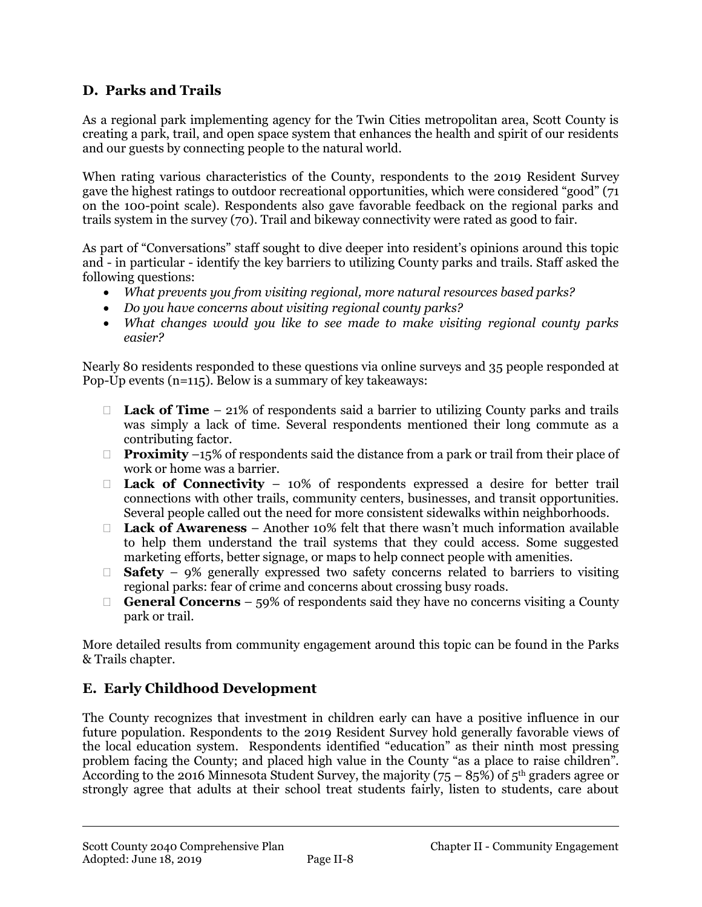## **D. Parks and Trails**

As a regional park implementing agency for the Twin Cities metropolitan area, Scott County is creating a park, trail, and open space system that enhances the health and spirit of our residents and our guests by connecting people to the natural world.

When rating various characteristics of the County, respondents to the 2019 Resident Survey gave the highest ratings to outdoor recreational opportunities, which were considered "good" (71 on the 100-point scale). Respondents also gave favorable feedback on the regional parks and trails system in the survey (70). Trail and bikeway connectivity were rated as good to fair.

As part of "Conversations" staff sought to dive deeper into resident's opinions around this topic and - in particular - identify the key barriers to utilizing County parks and trails. Staff asked the following questions:

- *What prevents you from visiting regional, more natural resources based parks?*
- *Do you have concerns about visiting regional county parks?*
- *What changes would you like to see made to make visiting regional county parks easier?*

Nearly 80 residents responded to these questions via online surveys and 35 people responded at Pop-Up events (n=115). Below is a summary of key takeaways:

- □ **Lack of Time** 21% of respondents said a barrier to utilizing County parks and trails was simply a lack of time. Several respondents mentioned their long commute as a contributing factor.
- □ **Proximity** –15% of respondents said the distance from a park or trail from their place of work or home was a barrier.
- **Lack of Connectivity** 10% of respondents expressed a desire for better trail connections with other trails, community centers, businesses, and transit opportunities. Several people called out the need for more consistent sidewalks within neighborhoods.
- **Lack of Awareness** Another 10% felt that there wasn't much information available to help them understand the trail systems that they could access. Some suggested marketing efforts, better signage, or maps to help connect people with amenities.
- **Safety** 9% generally expressed two safety concerns related to barriers to visiting regional parks: fear of crime and concerns about crossing busy roads.
- **General Concerns** 59% of respondents said they have no concerns visiting a County park or trail.

More detailed results from community engagement around this topic can be found in the Parks & Trails chapter.

# **E. Early Childhood Development**

The County recognizes that investment in children early can have a positive influence in our future population. Respondents to the 2019 Resident Survey hold generally favorable views of the local education system. Respondents identified "education" as their ninth most pressing problem facing the County; and placed high value in the County "as a place to raise children". According to the 2016 Minnesota Student Survey, the majority (75 – 85%) of  $5<sup>th</sup>$  graders agree or strongly agree that adults at their school treat students fairly, listen to students, care about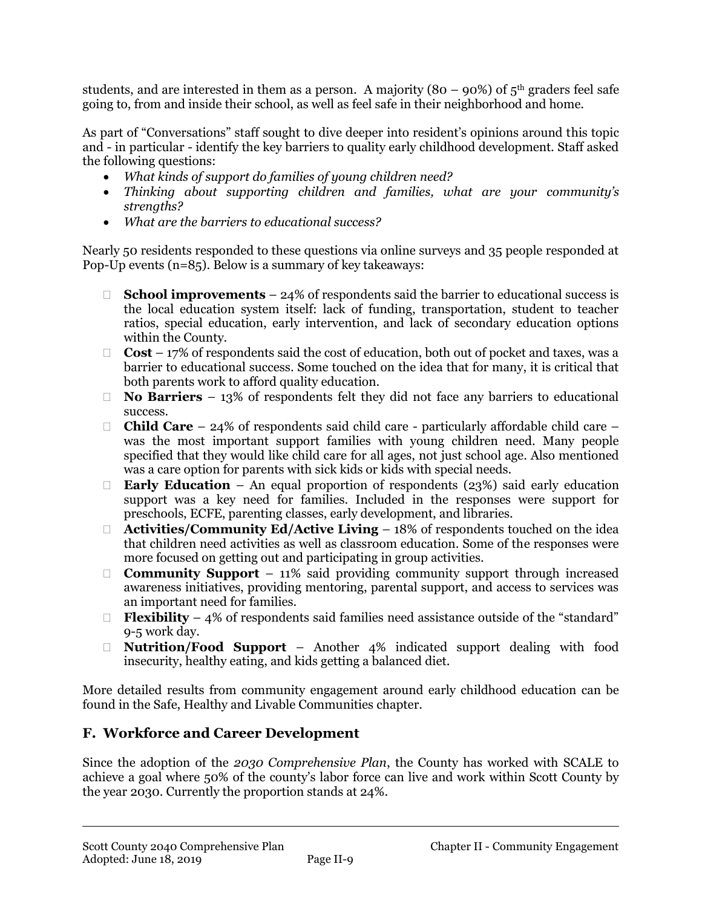students, and are interested in them as a person. A majority (80 – 90%) of  $5<sup>th</sup>$  graders feel safe going to, from and inside their school, as well as feel safe in their neighborhood and home.

As part of "Conversations" staff sought to dive deeper into resident's opinions around this topic and - in particular - identify the key barriers to quality early childhood development. Staff asked the following questions:

- *What kinds of support do families of young children need?*
- Thinking about supporting children and families, what are your community's *strengths?*
- *What are the barriers to educational success?*

Nearly 50 residents responded to these questions via online surveys and 35 people responded at Pop-Up events (n=85). Below is a summary of key takeaways:

- **School improvements** 24% of respondents said the barrier to educational success is the local education system itself: lack of funding, transportation, student to teacher ratios, special education, early intervention, and lack of secondary education options within the County.
- $\Box$  **Cost** 17% of respondents said the cost of education, both out of pocket and taxes, was a barrier to educational success. Some touched on the idea that for many, it is critical that both parents work to afford quality education.
- **No Barriers** 13% of respondents felt they did not face any barriers to educational success.
- □ **Child Care** 24% of respondents said child care particularly affordable child care was the most important support families with young children need. Many people specified that they would like child care for all ages, not just school age. Also mentioned was a care option for parents with sick kids or kids with special needs.
- **Early Education** An equal proportion of respondents (23%) said early education support was a key need for families. Included in the responses were support for preschools, ECFE, parenting classes, early development, and libraries.
- □ **Activities/Community Ed/Active Living** 18% of respondents touched on the idea that children need activities as well as classroom education. Some of the responses were more focused on getting out and participating in group activities.
- **Community Support** 11% said providing community support through increased awareness initiatives, providing mentoring, parental support, and access to services was an important need for families.
- **Flexibility** 4% of respondents said families need assistance outside of the "standard" 9-5 work day.
- **Nutrition/Food Support** Another 4% indicated support dealing with food insecurity, healthy eating, and kids getting a balanced diet.

More detailed results from community engagement around early childhood education can be found in the Safe, Healthy and Livable Communities chapter.

## **F. Workforce and Career Development**

Since the adoption of the *2030 Comprehensive Plan*, the County has worked with SCALE to achieve a goal where 50% of the county's labor force can live and work within Scott County by the year 2030. Currently the proportion stands at 24%.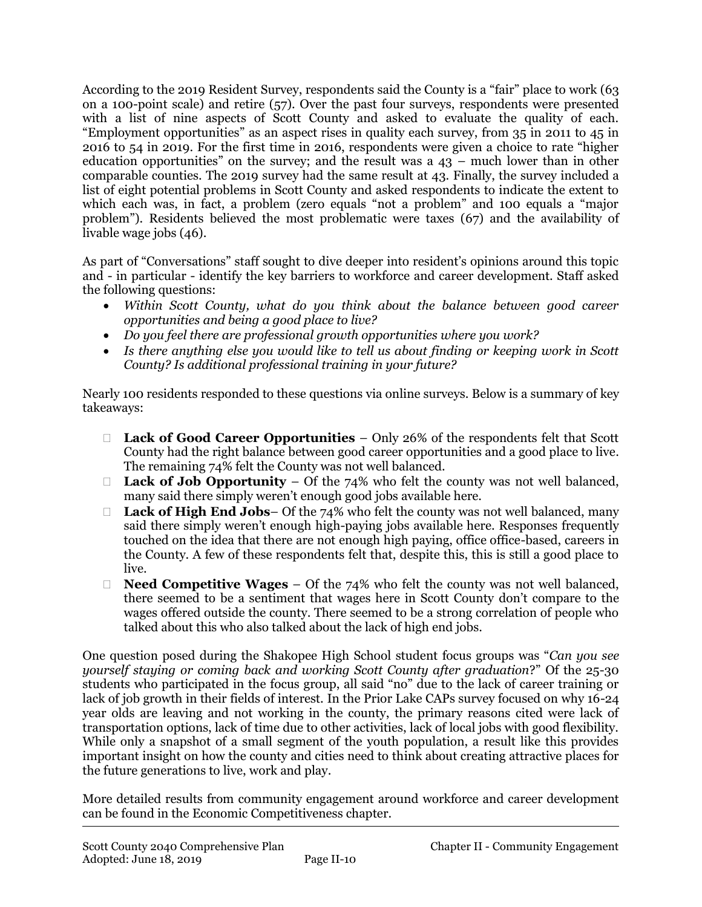According to the 2019 Resident Survey, respondents said the County is a "fair" place to work (63 on a 100-point scale) and retire (57). Over the past four surveys, respondents were presented with a list of nine aspects of Scott County and asked to evaluate the quality of each. "Employment opportunities" as an aspect rises in quality each survey, from 35 in 2011 to 45 in 2016 to 54 in 2019. For the first time in 2016, respondents were given a choice to rate "higher education opportunities" on the survey; and the result was a 43 – much lower than in other comparable counties. The 2019 survey had the same result at 43. Finally, the survey included a list of eight potential problems in Scott County and asked respondents to indicate the extent to which each was, in fact, a problem (zero equals "not a problem" and 100 equals a "major problem"). Residents believed the most problematic were taxes (67) and the availability of livable wage jobs (46).

As part of "Conversations" staff sought to dive deeper into resident's opinions around this topic and - in particular - identify the key barriers to workforce and career development. Staff asked the following questions:

- *Within Scott County, what do you think about the balance between good career opportunities and being a good place to live?*
- *Do you feel there are professional growth opportunities where you work?*
- *Is there anything else you would like to tell us about finding or keeping work in Scott County? Is additional professional training in your future?*

Nearly 100 residents responded to these questions via online surveys. Below is a summary of key takeaways:

- **Lack of Good Career Opportunities** Only 26% of the respondents felt that Scott County had the right balance between good career opportunities and a good place to live. The remaining 74% felt the County was not well balanced.
- **Lack of Job Opportunity** Of the  $74\%$  who felt the county was not well balanced, many said there simply weren't enough good jobs available here.
- □ Lack of High End Jobs– Of the 74% who felt the county was not well balanced, many said there simply weren't enough high-paying jobs available here. Responses frequently touched on the idea that there are not enough high paying, office office-based, careers in the County. A few of these respondents felt that, despite this, this is still a good place to live.
- **Need Competitive Wages** Of the 74% who felt the county was not well balanced, there seemed to be a sentiment that wages here in Scott County don't compare to the wages offered outside the county. There seemed to be a strong correlation of people who talked about this who also talked about the lack of high end jobs.

One question posed during the Shakopee High School student focus groups was "*Can you see yourself staying or coming back and working Scott County after graduation*?" Of the 25-30 students who participated in the focus group, all said "no" due to the lack of career training or lack of job growth in their fields of interest. In the Prior Lake CAPs survey focused on why 16-24 year olds are leaving and not working in the county, the primary reasons cited were lack of transportation options, lack of time due to other activities, lack of local jobs with good flexibility. While only a snapshot of a small segment of the youth population, a result like this provides important insight on how the county and cities need to think about creating attractive places for the future generations to live, work and play.

More detailed results from community engagement around workforce and career development can be found in the Economic Competitiveness chapter.